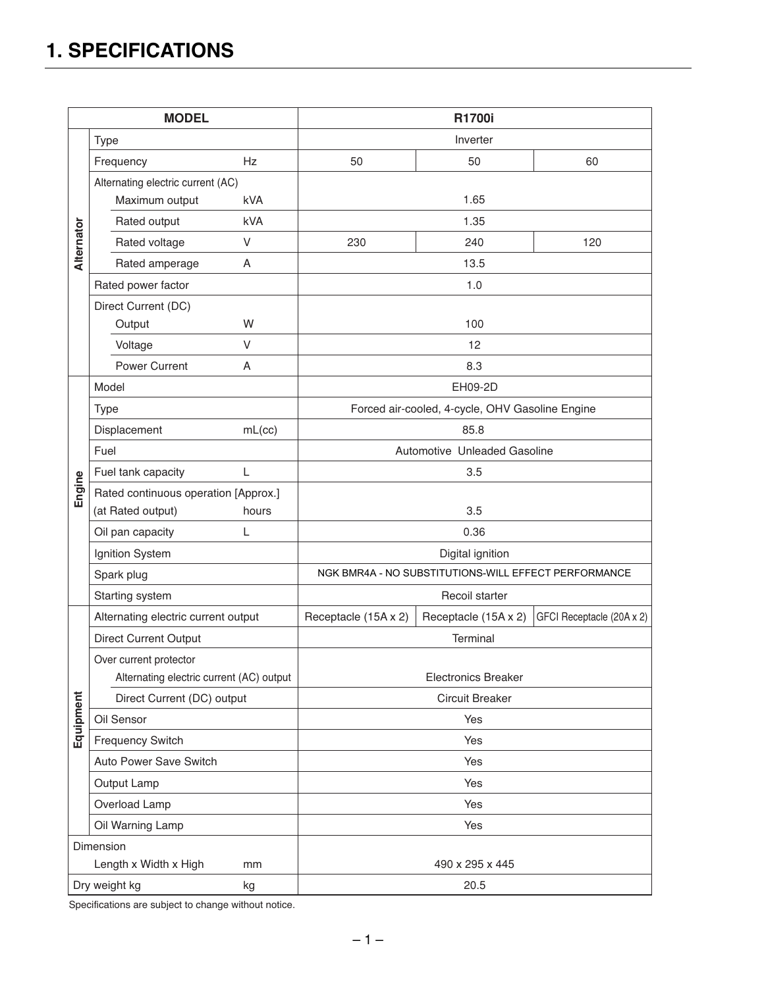# **1. SPECIFICATIONS**

| <b>MODEL</b>        |                                          |                    |                                                      | <b>R1700i</b>        |                           |     |
|---------------------|------------------------------------------|--------------------|------------------------------------------------------|----------------------|---------------------------|-----|
|                     | Type                                     |                    |                                                      | Inverter             |                           |     |
| Alternator          | Hz<br>Frequency                          |                    | 50                                                   | 50                   | 60                        |     |
|                     | Alternating electric current (AC)        |                    |                                                      |                      |                           |     |
|                     | Maximum output<br>kVA                    |                    | 1.65                                                 |                      |                           |     |
|                     | Rated output                             |                    | kVA                                                  | 1.35                 |                           |     |
|                     |                                          | Rated voltage      | V                                                    | 230                  | 240                       | 120 |
|                     |                                          | Rated amperage     | A                                                    |                      | 13.5                      |     |
|                     | Rated power factor                       |                    | 1.0                                                  |                      |                           |     |
|                     | Direct Current (DC)                      |                    |                                                      |                      |                           |     |
|                     | W<br>Output                              |                    | 100                                                  |                      |                           |     |
|                     | $\vee$<br>Voltage                        |                    |                                                      | 12                   |                           |     |
|                     |                                          | Power Current<br>A |                                                      | 8.3                  |                           |     |
|                     | Model                                    |                    | EH09-2D                                              |                      |                           |     |
|                     | <b>Type</b>                              |                    | Forced air-cooled, 4-cycle, OHV Gasoline Engine      |                      |                           |     |
| Engine              | Displacement<br>mL(cc)                   |                    | 85.8                                                 |                      |                           |     |
|                     | Fuel                                     |                    | Automotive Unleaded Gasoline                         |                      |                           |     |
|                     | $\mathsf{L}$<br>Fuel tank capacity       |                    | 3.5                                                  |                      |                           |     |
|                     | Rated continuous operation [Approx.]     |                    |                                                      |                      |                           |     |
|                     | (at Rated output)<br>hours               |                    | 3.5                                                  |                      |                           |     |
|                     | Oil pan capacity<br>L                    |                    | 0.36                                                 |                      |                           |     |
|                     | Ignition System                          |                    | Digital ignition                                     |                      |                           |     |
|                     | Spark plug                               |                    | NGK BMR4A - NO SUBSTITUTIONS-WILL EFFECT PERFORMANCE |                      |                           |     |
|                     | Starting system                          |                    | Recoil starter                                       |                      |                           |     |
|                     | Alternating electric current output      |                    | Receptacle (15A x 2)                                 | Receptacle (15A x 2) | GFCI Receptacle (20A x 2) |     |
|                     | <b>Direct Current Output</b>             |                    | Terminal                                             |                      |                           |     |
|                     | Over current protector                   |                    |                                                      |                      |                           |     |
|                     | Alternating electric current (AC) output |                    | <b>Electronics Breaker</b>                           |                      |                           |     |
| Equipment           | Direct Current (DC) output               |                    | <b>Circuit Breaker</b>                               |                      |                           |     |
|                     | Oil Sensor                               |                    |                                                      | Yes                  |                           |     |
|                     | <b>Frequency Switch</b>                  |                    |                                                      | Yes                  |                           |     |
|                     | Auto Power Save Switch                   |                    |                                                      | Yes                  |                           |     |
|                     | Output Lamp                              |                    | Yes                                                  |                      |                           |     |
|                     | Overload Lamp                            |                    | Yes                                                  |                      |                           |     |
|                     | Oil Warning Lamp                         |                    |                                                      | Yes                  |                           |     |
|                     | Dimension                                |                    |                                                      |                      |                           |     |
|                     | Length x Width x High<br>mm              |                    |                                                      | 490 x 295 x 445      |                           |     |
| Dry weight kg<br>kg |                                          |                    |                                                      | 20.5                 |                           |     |

Specifications are subject to change without notice.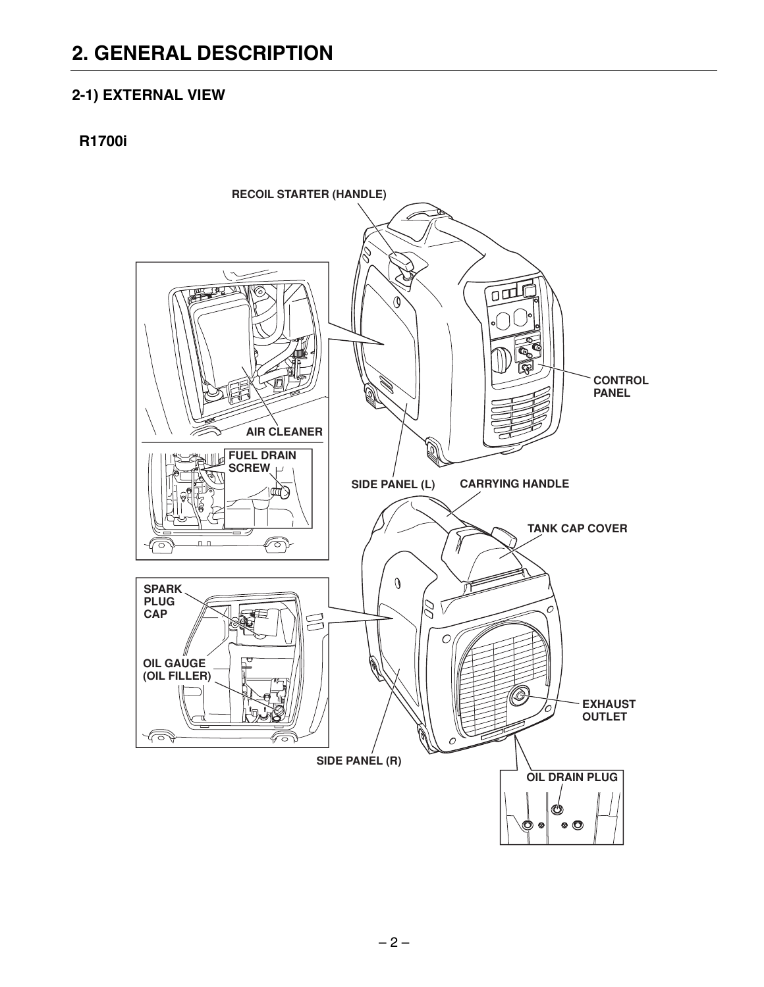## **2. GENERAL DESCRIPTION**

### 2-1) EXTERNAL VIEW

### **R1700i**

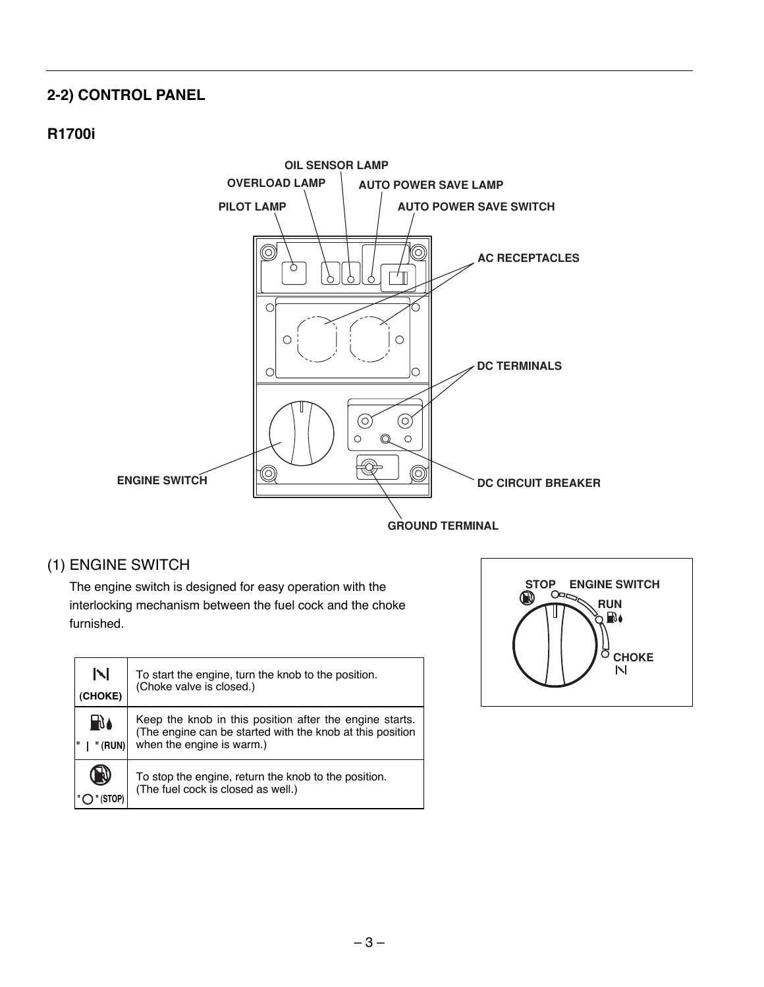### **2-2) CONTROL PANEL**

### **R1700i**



### (1) ENGINE SWITCH

The engine switch is designed for easy operation with the interlocking mechanism between the fuel cock and the choke furnished.

| N<br>(CHOKE)  | To start the engine, turn the knob to the position.<br>(Choke valve is closed.)                                                                   |
|---------------|---------------------------------------------------------------------------------------------------------------------------------------------------|
| ∐∖∖≬<br>(RUN) | Keep the knob in this position after the engine starts.<br>(The engine can be started with the knob at this position<br>when the engine is warm.) |
| - 8           | To stop the engine, return the knob to the position.<br>(The fuel cock is closed as well.)                                                        |

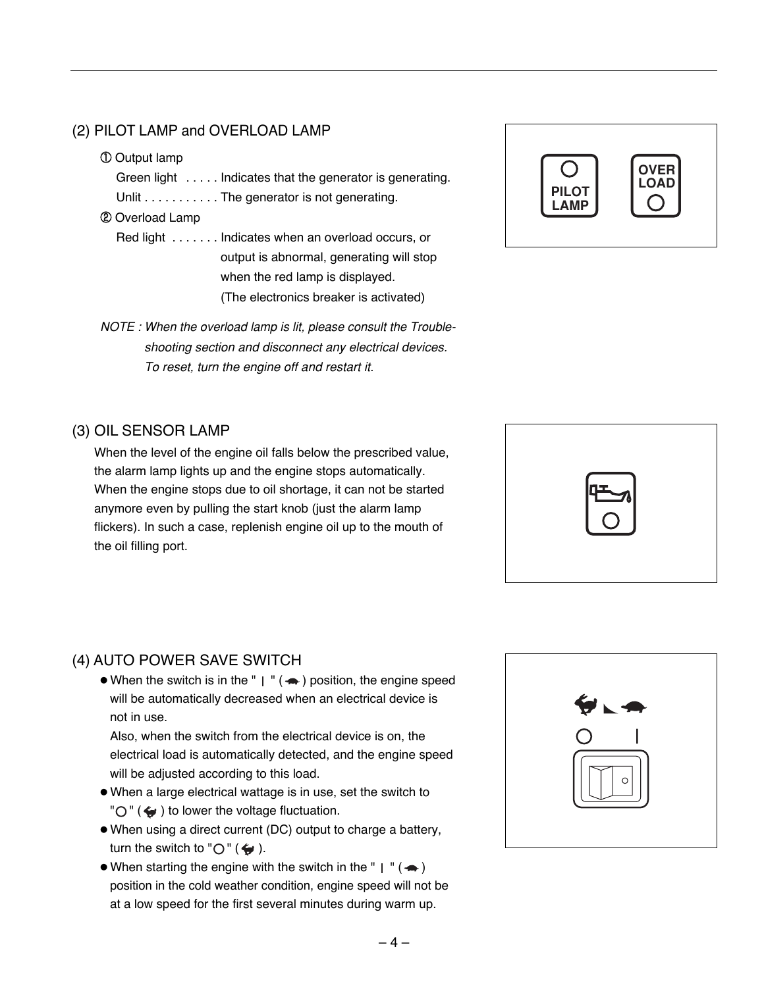### (2) PILOT LAMP and OVERLOAD LAMP

#### ① Output lamp

Green light . . . . . Indicates that the generator is generating.

Unlit . . . . . . . . . . . The generator is not generating.

#### ② Overload Lamp

- Red light . . . . . . . Indicates when an overload occurs, or output is abnormal, generating will stop when the red lamp is displayed. (The electronics breaker is activated)
- *NOTE : When the overload lamp is lit, please consult the Troubleshooting section and disconnect any electrical devices. To reset, turn the engine off and restart it.*

### (3) OIL SENSOR LAMP

When the level of the engine oil falls below the prescribed value, the alarm lamp lights up and the engine stops automatically. When the engine stops due to oil shortage, it can not be started anymore even by pulling the start knob (just the alarm lamp flickers). In such a case, replenish engine oil up to the mouth of the oil filling port.

### (4) AUTO POWER SAVE SWITCH

 $\bullet$  When the switch is in the " | " ( $\bullet$ ) position, the engine speed will be automatically decreased when an electrical device is not in use.

Also, when the switch from the electrical device is on, the electrical load is automatically detected, and the engine speed will be adjusted according to this load.

- When a large electrical wattage is in use, set the switch to  $"O"$  ( $\leftrightarrow$ ) to lower the voltage fluctuation.
- When using a direct current (DC) output to charge a battery, turn the switch to " $\bigcirc$ " ( $\bigcirc$ ").
- When starting the engine with the switch in the "  $\mid$  " ( $\leftrightarrow$ ) position in the cold weather condition, engine speed will not be at a low speed for the first several minutes during warm up.